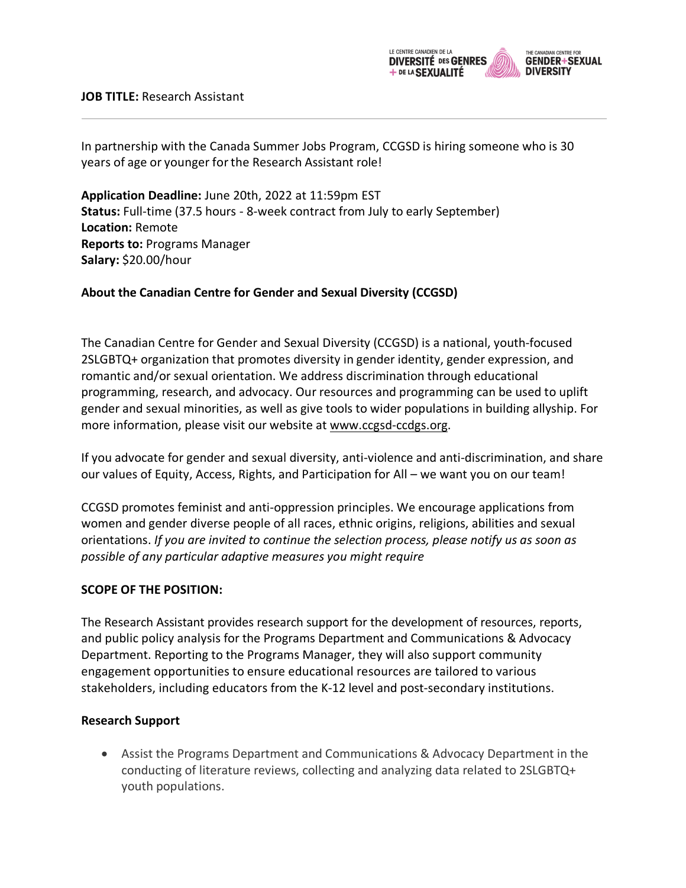

In partnership with the Canada Summer Jobs Program, CCGSD is hiring someone who is 30 years of age or younger forthe Research Assistant role!

**Application Deadline:** June 20th, 2022 at 11:59pm EST **Status:** Full-time (37.5 hours - 8-week contract from July to early September) **Location:** Remote **Reports to:** Programs Manager **Salary:** \$20.00/hour

## **About the Canadian Centre for Gender and Sexual Diversity (CCGSD)**

The Canadian Centre for Gender and Sexual Diversity (CCGSD) is a national, youth-focused 2SLGBTQ+ organization that promotes diversity in gender identity, gender expression, and romantic and/or sexual orientation. We address discrimination through educational programming, research, and advocacy. Our resources and programming can be used to uplift gender and sexual minorities, as well as give tools to wider populations in building allyship. For more information, please visit our website at www.ccgsd-ccdgs.org.

If you advocate for gender and sexual diversity, anti-violence and anti-discrimination, and share our values of Equity, Access, Rights, and Participation for All – we want you on our team!

CCGSD promotes feminist and anti-oppression principles. We encourage applications from women and gender diverse people of all races, ethnic origins, religions, abilities and sexual orientations. *If you are invited to continue the selection process, please notify us as soon as possible of any particular adaptive measures you might require*

## **SCOPE OF THE POSITION:**

The Research Assistant provides research support for the development of resources, reports, and public policy analysis for the Programs Department and Communications & Advocacy Department. Reporting to the Programs Manager, they will also support community engagement opportunities to ensure educational resources are tailored to various stakeholders, including educators from the K-12 level and post-secondary institutions.

## **Research Support**

• Assist the Programs Department and Communications & Advocacy Department in the conducting of literature reviews, collecting and analyzing data related to 2SLGBTQ+ youth populations.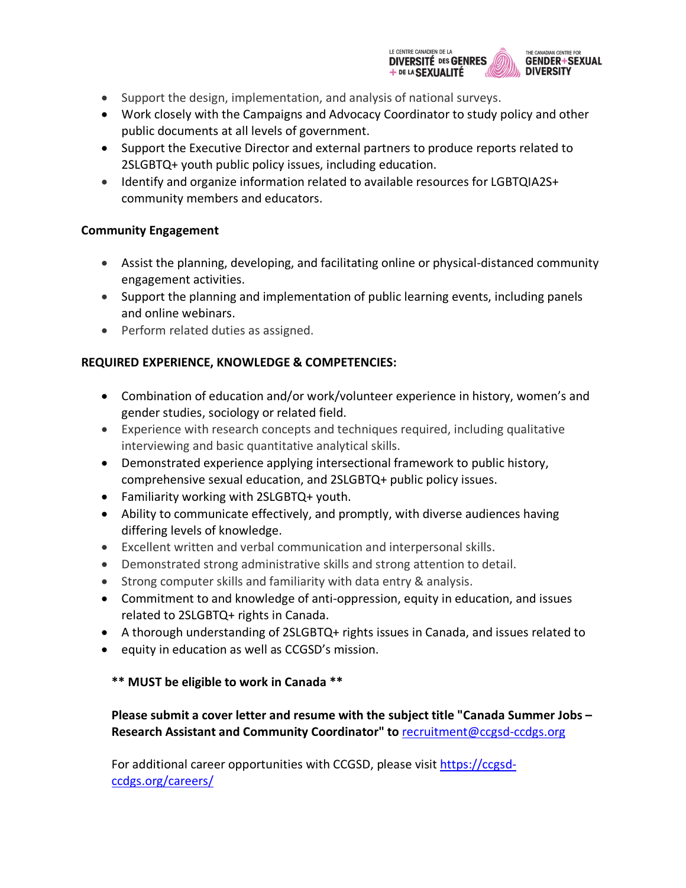

- Support the design, implementation, and analysis of national surveys.
- Work closely with the Campaigns and Advocacy Coordinator to study policy and other public documents at all levels of government.
- Support the Executive Director and external partners to produce reports related to 2SLGBTQ+ youth public policy issues, including education.
- Identify and organize information related to available resources for LGBTQIA2S+ community members and educators.

## **Community Engagement**

- Assist the planning, developing, and facilitating online or physical-distanced community engagement activities.
- Support the planning and implementation of public learning events, including panels and online webinars.
- Perform related duties as assigned.

# **REQUIRED EXPERIENCE, KNOWLEDGE & COMPETENCIES:**

- Combination of education and/or work/volunteer experience in history, women's and gender studies, sociology or related field.
- Experience with research concepts and techniques required, including qualitative interviewing and basic quantitative analytical skills.
- Demonstrated experience applying intersectional framework to public history, comprehensive sexual education, and 2SLGBTQ+ public policy issues.
- Familiarity working with 2SLGBTQ+ youth.
- Ability to communicate effectively, and promptly, with diverse audiences having differing levels of knowledge.
- Excellent written and verbal communication and interpersonal skills.
- Demonstrated strong administrative skills and strong attention to detail.
- Strong computer skills and familiarity with data entry & analysis.
- Commitment to and knowledge of anti-oppression, equity in education, and issues related to 2SLGBTQ+ rights in Canada.
- A thorough understanding of 2SLGBTQ+ rights issues in Canada, and issues related to
- equity in education as well as CCGSD's mission.

# **\*\* MUST be eligible to work in Canada \*\***

**Please submit a cover letter and resume with the subject title "Canada Summer Jobs – Research Assistant and Community Coordinator" to** recruitment@ccgsd-ccdgs.org

For additional career opportunities with CCGSD, please visit https://ccgsdccdgs.org/careers/